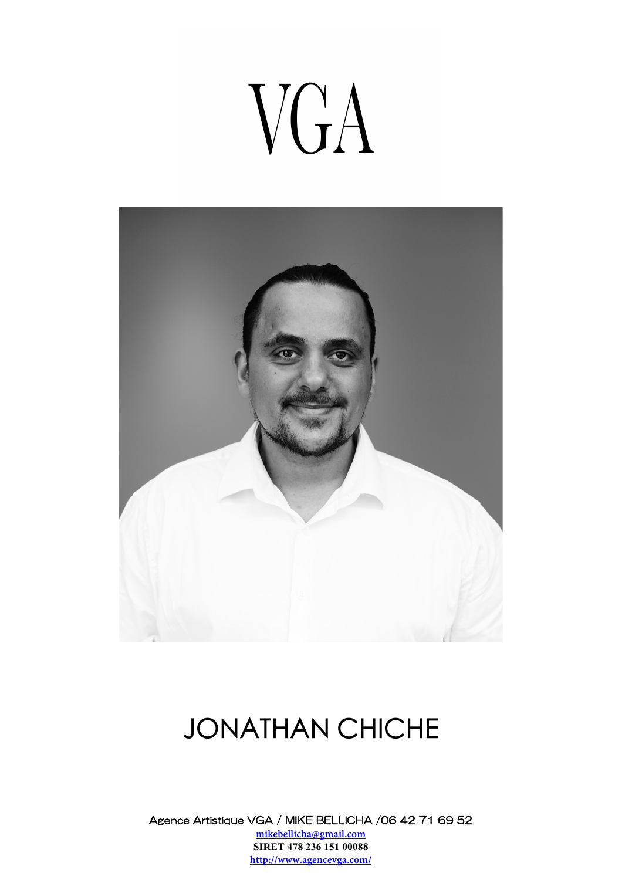# VGA



### JONATHAN CHICHE

Agence Artistique VGA / MIKE BELLICHA /06 42 71 69 52 **mikebellicha@gmail.com SIRET 478 236 151 00088 http://www.agencevga.com/**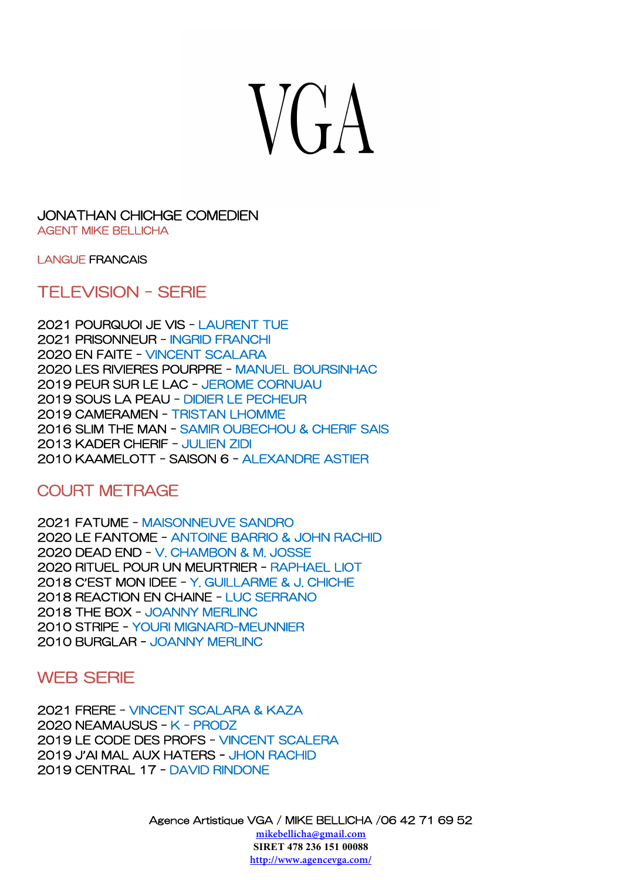## $V(A)$

#### JONATHAN CHICHGE COMEDIEN AGENT MIKE BELLICHA

LANGUE FRANCAIS

TELEVISION - SERIE

2021 POURQUOI JE VIS - LAURENT TUE 2021 PRISONNEUR - INGRID FRANCHI 2020 EN FAITE - VINCENT SCALARA 2020 LES RIVIERES POURPRE - MANUEL BOURSINHAC 2019 PEUR SUR LE LAC - JEROME CORNUAU 2019 SOUS LA PEAU - DIDIER LE PECHEUR 2019 CAMERAMEN - TRISTAN LHOMME 2016 SLIM THE MAN - SAMIR OUBECHOU & CHERIF SAIS 2013 KADER CHERIF – JULIEN ZIDI 2010 KAAMELOTT - SAISON 6 - ALEXANDRE ASTIER

#### COURT METRAGE

2021 FATUME - MAISONNEUVE SANDRO 2020 LE FANTOME - ANTOINE BARRIO & JOHN RACHID 2020 DEAD END - V. CHAMBON & M. JOSSE 2020 RITUEL POUR UN MEURTRIER - RAPHAEL LIOT 2018 C**'**EST MON IDEE - Y. GUILLARME & J. CHICHE 2018 REACTION EN CHAINE - LUC SERRANO 2018 THE BOX - JOANNY MERLINC 2010 STRIPE - YOURI MIGNARD-MEUNNIER 2010 BURGLAR - JOANNY MERLINC

#### WEB SERIE

2021 FRERE - VINCENT SCALARA & KAZA 2020 NEAMAUSUS – K - PRODZ 2019 LE CODE DES PROFS - VINCENT SCALERA 2019 J**'**AI MAL AUX HATERS - JHON RACHID 2019 CENTRAL 17 - DAVID RINDONE

Agence Artistique VGA / MIKE BELLICHA /06 42 71 69 52

**mikebellicha@gmail.com SIRET 478 236 151 00088 http://www.agencevga.com/**